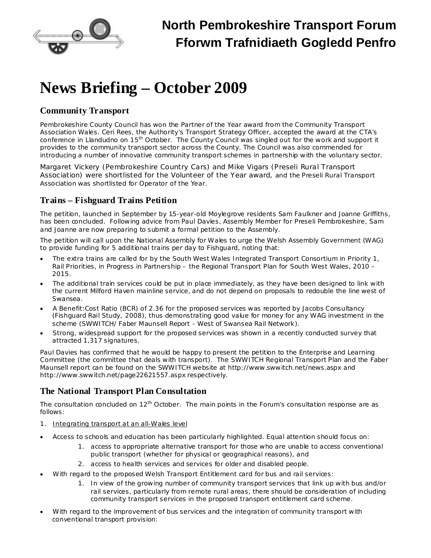

## **News Briefing – October 2009**

## **Community Transport**

Pembrokeshire County Council has won the Partner of the Year award from the Community Transport Association Wales. Ceri Rees, the Authority's Transport Strategy Officer, accepted the award at the CTA's conference in Llandudno on 15<sup>th</sup> October. The County Council was singled out for the work and support it provides to the community transport sector across the County. The Council was also commended for introducing a number of innovative community transport schemes in partnership with the voluntary sector.

Margaret Vickery (Pembrokeshire Country Cars) and Mike Vigars (Preseli Rural Transport Association) were shortlisted for the Volunteer of the Year award, and the Preseli Rural Transport Association was shortlisted for Operator of the Year.

## **Trains – Fishguard Trains Petition**

The petition, launched in September by 15-year-old Moylegrove residents Sam Faulkner and Joanne Griffiths, has been concluded. Following advice from Paul Davies, Assembly Member for Preseli Pembrokeshire, Sam and Joanne are now preparing to submit a formal petition to the Assembly.

The petition will call upon the National Assembly for Wales to urge the Welsh Assembly Government (WAG) to provide funding for 5 additional trains per day to Fishguard, noting that:

- · The extra trains are called for by the South West Wales Integrated Transport Consortium in Priority 1, Rail Priorities, in *Progress in Partnership – the Regional Transport Plan for South West Wales, 2010 – 2015*.
- The additional train services could be put in place immediately, as they have been designed to link with the current Milford Haven mainline service, and do not depend on proposals to redouble the line west of Swansea.
- · A Benefit:Cost Ratio (BCR) of 2.36 for the proposed services was reported by Jacobs Consultancy (*Fishguard Rail Study, 2008*), thus demonstrating good value for money for any WAG investment in the scheme (*SWWITCH/ Faber Maunsell Report - West of Swansea Rail Network*).
- Strong, widespread support for the proposed services was shown in a recently conducted survey that attracted 1,317 signatures.

Paul Davies has confirmed that he would be happy to present the petition to the Enterprise and Learning Committee (the committee that deals with transport). The SWWITCH Regional Transport Plan and the Faber Maunsell report can be found on the SWWITCH website at <http://www.swwitch.net/news.aspx> and <http://www.swwitch.net/page22621557.aspx> respectively.

## **The National Transport Plan Consultation**

The consultation concluded on  $12<sup>th</sup>$  October. The main points in the Forum's consultation response are as follows:

- 1. Integrating transport at an all-Wales level
- Access to schools and education has been particularly highlighted. Equal attention should focus on:
	- 1. access to appropriate alternative transport for those who are unable to access conventional public transport (whether for physical or geographical reasons), and
	- 2. access to health services and services for older and disabled people.
- With regard to the proposed Welsh Transport Entitlement card for bus and rail services:
	- 1. In view of the growing number of community transport services that link up with bus and/or rail services, particularly from remote rural areas, there should be consideration of including community transport services in the proposed transport entitlement card scheme.
- With regard to the improvement of bus services and the integration of community transport with conventional transport provision: